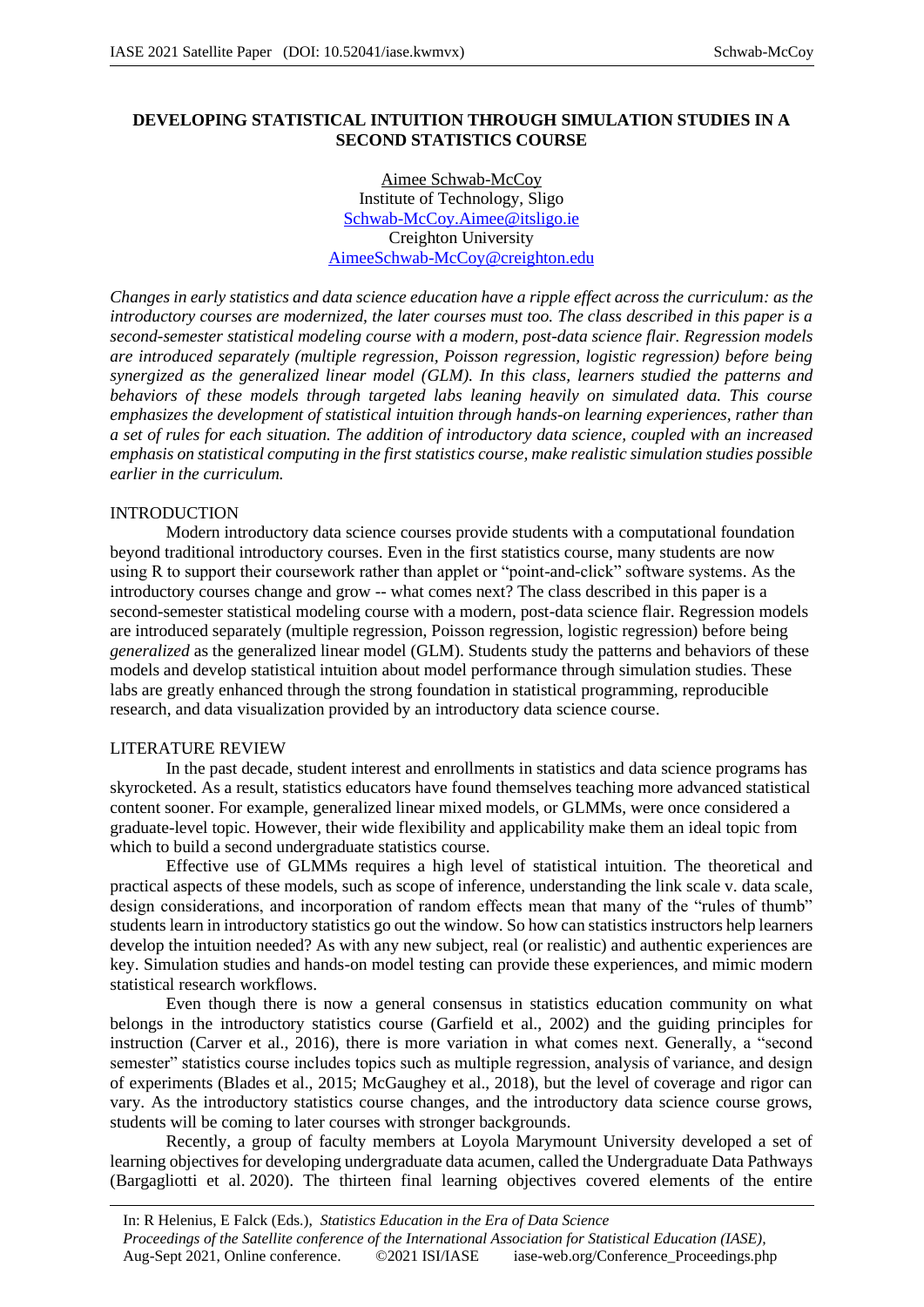# **DEVELOPING STATISTICAL INTUITION THROUGH SIMULATION STUDIES IN A SECOND STATISTICS COURSE**

Aimee Schwab-McCoy Institute of Technology, Sligo Schwab-McCoy.Aimee@itsligo.ie Creighton University AimeeSchwab-McCoy@creighton.edu

*Changes in early statistics and data science education have a ripple effect across the curriculum: as the introductory courses are modernized, the later courses must too. The class described in this paper is a second-semester statistical modeling course with a modern, post-data science flair. Regression models are introduced separately (multiple regression, Poisson regression, logistic regression) before being synergized as the generalized linear model (GLM). In this class, learners studied the patterns and behaviors of these models through targeted labs leaning heavily on simulated data. This course emphasizes the development of statistical intuition through hands-on learning experiences, rather than a set of rules for each situation. The addition of introductory data science, coupled with an increased emphasis on statistical computing in the first statistics course, make realistic simulation studies possible earlier in the curriculum.*

# INTRODUCTION

Modern introductory data science courses provide students with a computational foundation beyond traditional introductory courses. Even in the first statistics course, many students are now using R to support their coursework rather than applet or "point-and-click" software systems. As the introductory courses change and grow -- what comes next? The class described in this paper is a second-semester statistical modeling course with a modern, post-data science flair. Regression models are introduced separately (multiple regression, Poisson regression, logistic regression) before being *generalized* as the generalized linear model (GLM). Students study the patterns and behaviors of these models and develop statistical intuition about model performance through simulation studies. These labs are greatly enhanced through the strong foundation in statistical programming, reproducible research, and data visualization provided by an introductory data science course.

## LITERATURE REVIEW

In the past decade, student interest and enrollments in statistics and data science programs has skyrocketed. As a result, statistics educators have found themselves teaching more advanced statistical content sooner. For example, generalized linear mixed models, or GLMMs, were once considered a graduate-level topic. However, their wide flexibility and applicability make them an ideal topic from which to build a second undergraduate statistics course.

Effective use of GLMMs requires a high level of statistical intuition. The theoretical and practical aspects of these models, such as scope of inference, understanding the link scale v. data scale, design considerations, and incorporation of random effects mean that many of the "rules of thumb" students learn in introductory statistics go out the window. So how can statistics instructors help learners develop the intuition needed? As with any new subject, real (or realistic) and authentic experiences are key. Simulation studies and hands-on model testing can provide these experiences, and mimic modern statistical research workflows.

Even though there is now a general consensus in statistics education community on what belongs in the introductory statistics course (Garfield et al., 2002) and the guiding principles for instruction (Carver et al., 2016), there is more variation in what comes next. Generally, a "second semester" statistics course includes topics such as multiple regression, analysis of variance, and design of experiments (Blades et al., 2015; McGaughey et al., 2018), but the level of coverage and rigor can vary. As the introductory statistics course changes, and the introductory data science course grows, students will be coming to later courses with stronger backgrounds.

Recently, a group of faculty members at Loyola Marymount University developed a set of learning objectives for developing undergraduate data acumen, called the Undergraduate Data Pathways (Bargagliotti et al. 2020). The thirteen final learning objectives covered elements of the entire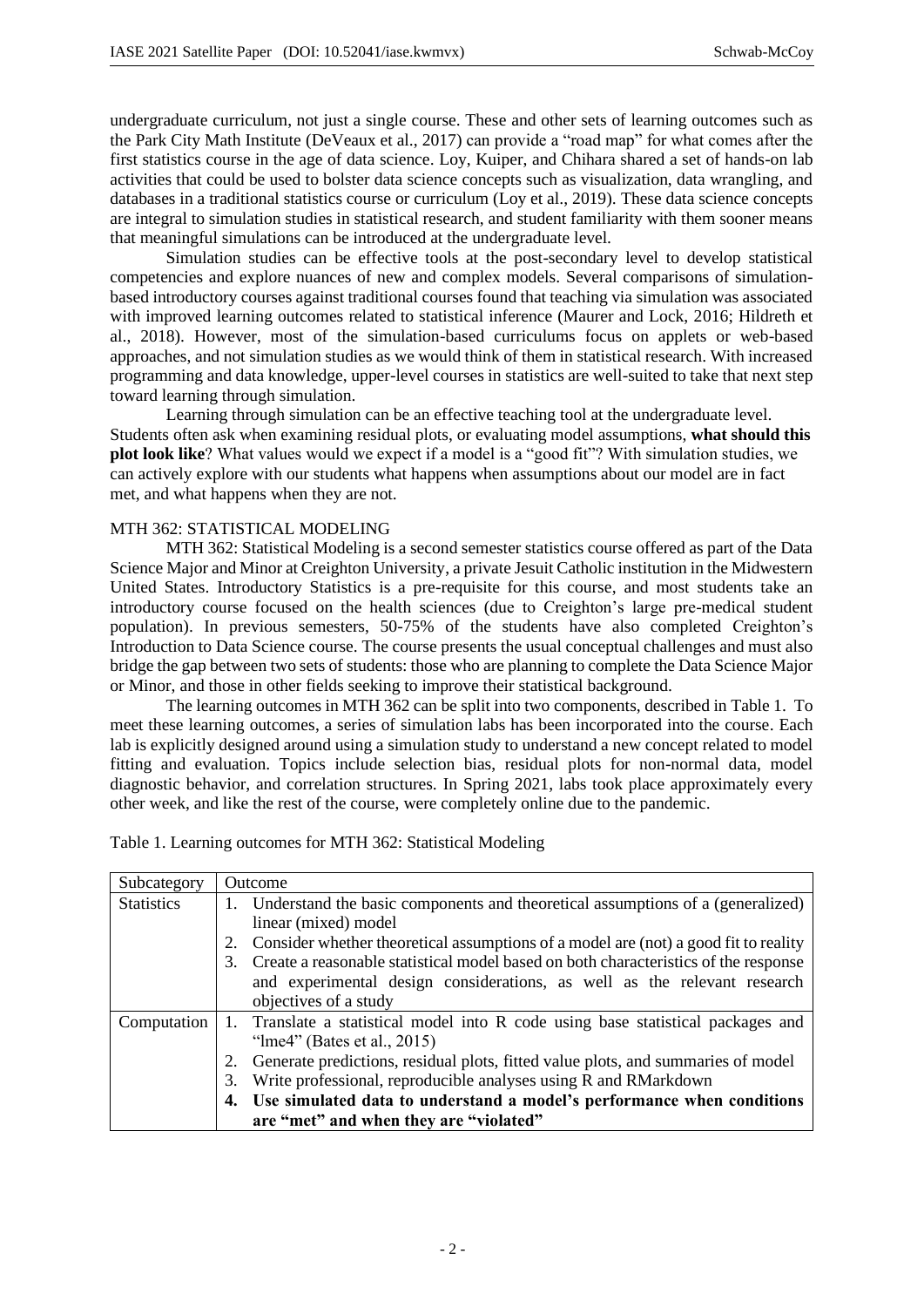undergraduate curriculum, not just a single course. These and other sets of learning outcomes such as the Park City Math Institute (DeVeaux et al., 2017) can provide a "road map" for what comes after the first statistics course in the age of data science. Loy, Kuiper, and Chihara shared a set of hands-on lab activities that could be used to bolster data science concepts such as visualization, data wrangling, and databases in a traditional statistics course or curriculum (Loy et al., 2019). These data science concepts are integral to simulation studies in statistical research, and student familiarity with them sooner means that meaningful simulations can be introduced at the undergraduate level.

Simulation studies can be effective tools at the post-secondary level to develop statistical competencies and explore nuances of new and complex models. Several comparisons of simulationbased introductory courses against traditional courses found that teaching via simulation was associated with improved learning outcomes related to statistical inference (Maurer and Lock, 2016; Hildreth et al., 2018). However, most of the simulation-based curriculums focus on applets or web-based approaches, and not simulation studies as we would think of them in statistical research. With increased programming and data knowledge, upper-level courses in statistics are well-suited to take that next step toward learning through simulation.

Learning through simulation can be an effective teaching tool at the undergraduate level. Students often ask when examining residual plots, or evaluating model assumptions, **what should this plot look like**? What values would we expect if a model is a "good fit"? With simulation studies, we can actively explore with our students what happens when assumptions about our model are in fact met, and what happens when they are not.

## MTH 362: STATISTICAL MODELING

MTH 362: Statistical Modeling is a second semester statistics course offered as part of the Data Science Major and Minor at Creighton University, a private Jesuit Catholic institution in the Midwestern United States. Introductory Statistics is a pre-requisite for this course, and most students take an introductory course focused on the health sciences (due to Creighton's large pre-medical student population). In previous semesters, 50-75% of the students have also completed Creighton's Introduction to Data Science course. The course presents the usual conceptual challenges and must also bridge the gap between two sets of students: those who are planning to complete the Data Science Major or Minor, and those in other fields seeking to improve their statistical background.

The learning outcomes in MTH 362 can be split into two components, described in Table 1. To meet these learning outcomes, a series of simulation labs has been incorporated into the course. Each lab is explicitly designed around using a simulation study to understand a new concept related to model fitting and evaluation. Topics include selection bias, residual plots for non-normal data, model diagnostic behavior, and correlation structures. In Spring 2021, labs took place approximately every other week, and like the rest of the course, were completely online due to the pandemic.

| Subcategory       | Outcome                                                                       |                                                                                     |  |
|-------------------|-------------------------------------------------------------------------------|-------------------------------------------------------------------------------------|--|
| <b>Statistics</b> |                                                                               | Understand the basic components and theoretical assumptions of a (generalized)      |  |
|                   |                                                                               | linear (mixed) model                                                                |  |
|                   |                                                                               | Consider whether theoretical assumptions of a model are (not) a good fit to reality |  |
|                   | 3.                                                                            | Create a reasonable statistical model based on both characteristics of the response |  |
|                   |                                                                               | and experimental design considerations, as well as the relevant research            |  |
|                   |                                                                               | objectives of a study                                                               |  |
| Computation       | Translate a statistical model into R code using base statistical packages and |                                                                                     |  |
|                   |                                                                               | " $lme4$ " (Bates et al., 2015)                                                     |  |
|                   |                                                                               | Generate predictions, residual plots, fitted value plots, and summaries of model    |  |
|                   | 3.                                                                            | Write professional, reproducible analyses using R and RMarkdown                     |  |
|                   |                                                                               | 4. Use simulated data to understand a model's performance when conditions           |  |
|                   |                                                                               | are "met" and when they are "violated"                                              |  |

Table 1. Learning outcomes for MTH 362: Statistical Modeling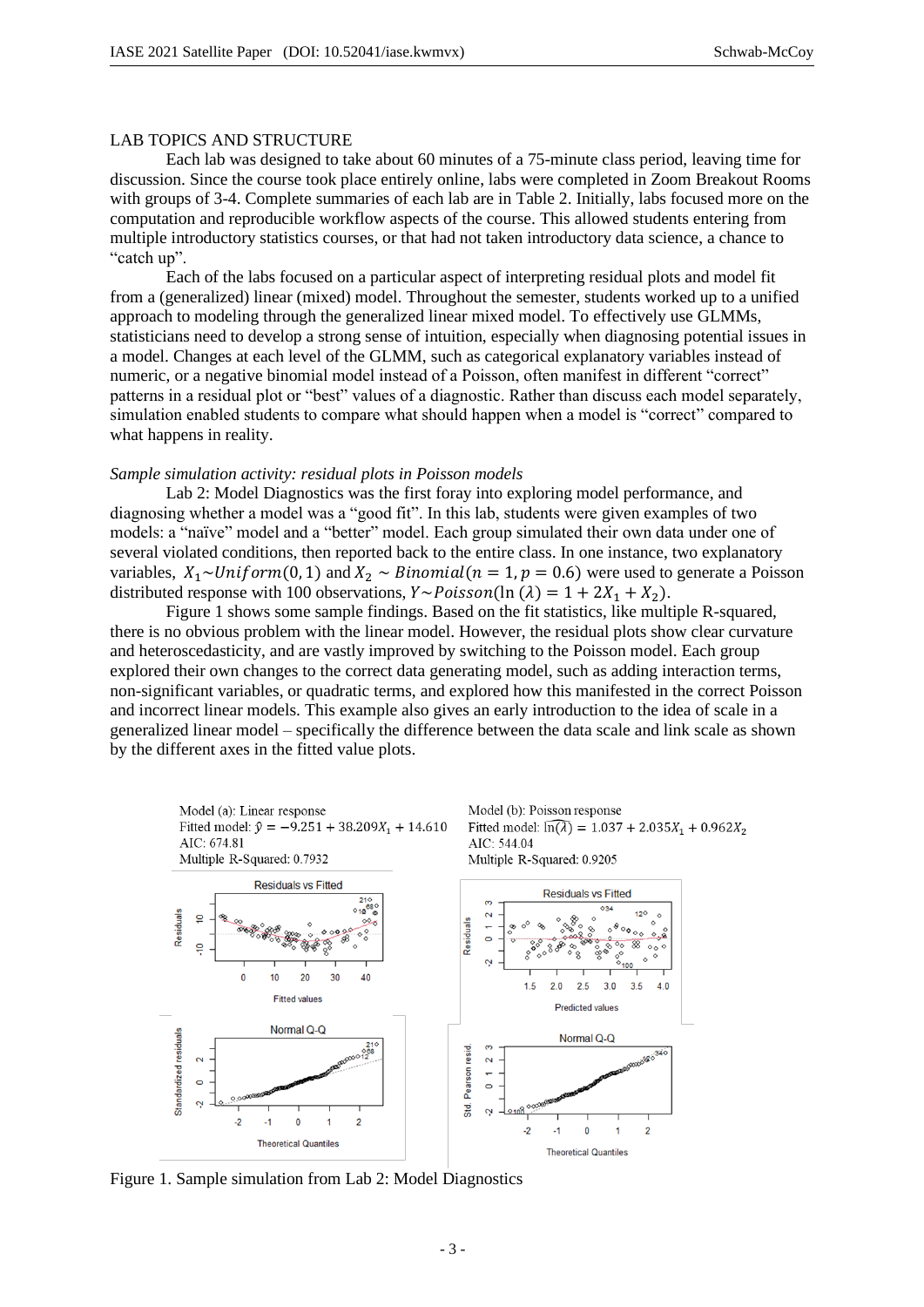## LAB TOPICS AND STRUCTURE

Each lab was designed to take about 60 minutes of a 75-minute class period, leaving time for discussion. Since the course took place entirely online, labs were completed in Zoom Breakout Rooms with groups of 3-4. Complete summaries of each lab are in Table 2. Initially, labs focused more on the computation and reproducible workflow aspects of the course. This allowed students entering from multiple introductory statistics courses, or that had not taken introductory data science, a chance to "catch up".

Each of the labs focused on a particular aspect of interpreting residual plots and model fit from a (generalized) linear (mixed) model. Throughout the semester, students worked up to a unified approach to modeling through the generalized linear mixed model. To effectively use GLMMs, statisticians need to develop a strong sense of intuition, especially when diagnosing potential issues in a model. Changes at each level of the GLMM, such as categorical explanatory variables instead of numeric, or a negative binomial model instead of a Poisson, often manifest in different "correct" patterns in a residual plot or "best" values of a diagnostic. Rather than discuss each model separately, simulation enabled students to compare what should happen when a model is "correct" compared to what happens in reality.

### *Sample simulation activity: residual plots in Poisson models*

Lab 2: Model Diagnostics was the first foray into exploring model performance, and diagnosing whether a model was a "good fit". In this lab, students were given examples of two models: a "naïve" model and a "better" model. Each group simulated their own data under one of several violated conditions, then reported back to the entire class. In one instance, two explanatory variables,  $X_1 \sim Uniform(0, 1)$  and  $X_2 \sim Binomial(n = 1, p = 0.6)$  were used to generate a Poisson distributed response with 100 observations,  $Y \sim Poisson(\ln (\lambda) = 1 + 2X_1 + X_2)$ .

Figure 1 shows some sample findings. Based on the fit statistics, like multiple R-squared, there is no obvious problem with the linear model. However, the residual plots show clear curvature and heteroscedasticity, and are vastly improved by switching to the Poisson model. Each group explored their own changes to the correct data generating model, such as adding interaction terms, non-significant variables, or quadratic terms, and explored how this manifested in the correct Poisson and incorrect linear models. This example also gives an early introduction to the idea of scale in a generalized linear model – specifically the difference between the data scale and link scale as shown by the different axes in the fitted value plots.







Figure 1. Sample simulation from Lab 2: Model Diagnostics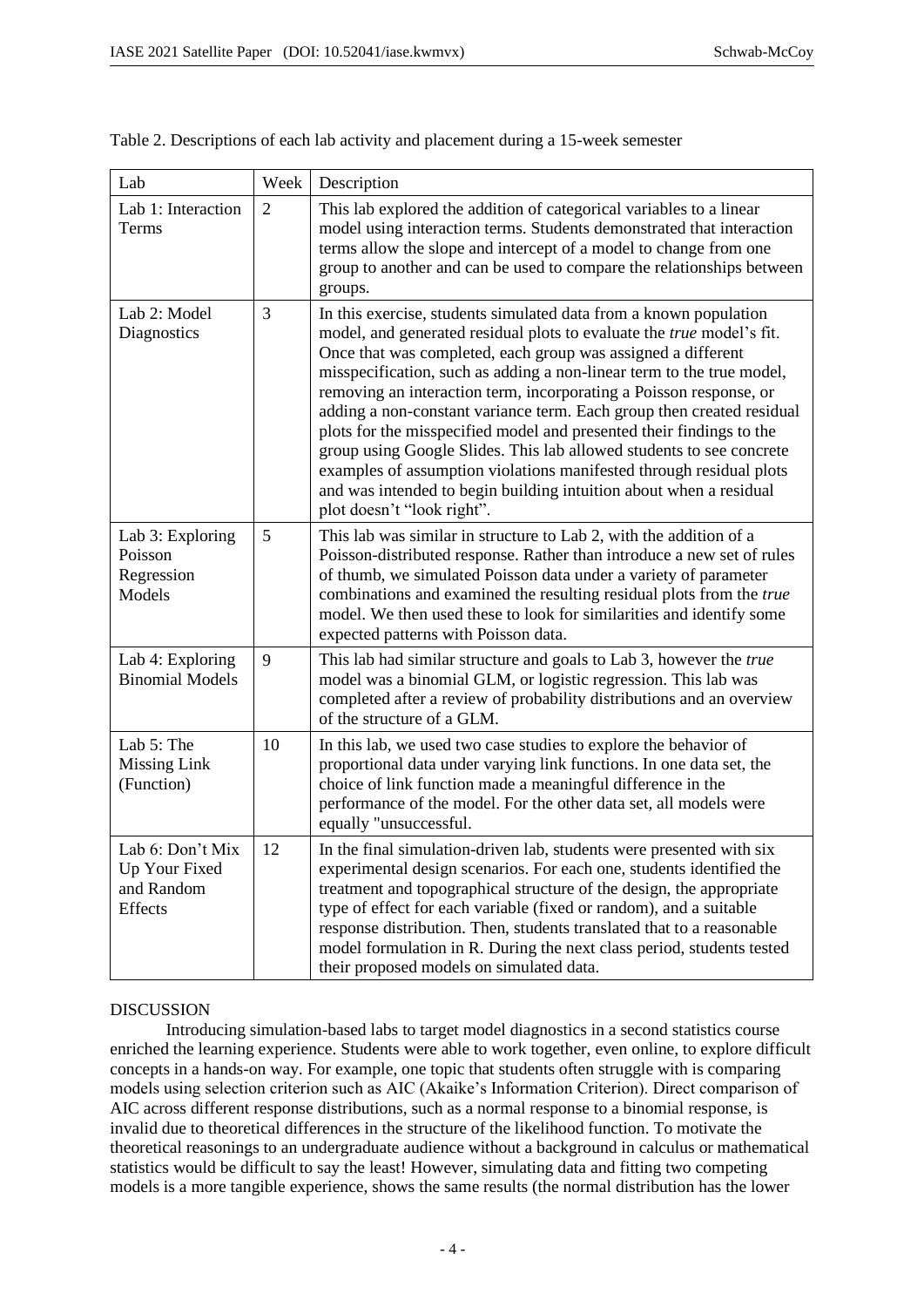٦

| Lab                                                               | Week | Description                                                                                                                                                                                                                                                                                                                                                                                                                                                                                                                                                                                                                                                                                                                                                   |
|-------------------------------------------------------------------|------|---------------------------------------------------------------------------------------------------------------------------------------------------------------------------------------------------------------------------------------------------------------------------------------------------------------------------------------------------------------------------------------------------------------------------------------------------------------------------------------------------------------------------------------------------------------------------------------------------------------------------------------------------------------------------------------------------------------------------------------------------------------|
| Lab 1: Interaction<br>Terms                                       | 2    | This lab explored the addition of categorical variables to a linear<br>model using interaction terms. Students demonstrated that interaction<br>terms allow the slope and intercept of a model to change from one<br>group to another and can be used to compare the relationships between<br>groups.                                                                                                                                                                                                                                                                                                                                                                                                                                                         |
| Lab 2: Model<br>Diagnostics                                       | 3    | In this exercise, students simulated data from a known population<br>model, and generated residual plots to evaluate the true model's fit.<br>Once that was completed, each group was assigned a different<br>misspecification, such as adding a non-linear term to the true model,<br>removing an interaction term, incorporating a Poisson response, or<br>adding a non-constant variance term. Each group then created residual<br>plots for the misspecified model and presented their findings to the<br>group using Google Slides. This lab allowed students to see concrete<br>examples of assumption violations manifested through residual plots<br>and was intended to begin building intuition about when a residual<br>plot doesn't "look right". |
| Lab 3: Exploring<br>Poisson<br>Regression<br>Models               | 5    | This lab was similar in structure to Lab 2, with the addition of a<br>Poisson-distributed response. Rather than introduce a new set of rules<br>of thumb, we simulated Poisson data under a variety of parameter<br>combinations and examined the resulting residual plots from the true<br>model. We then used these to look for similarities and identify some<br>expected patterns with Poisson data.                                                                                                                                                                                                                                                                                                                                                      |
| Lab 4: Exploring<br><b>Binomial Models</b>                        | 9    | This lab had similar structure and goals to Lab 3, however the true<br>model was a binomial GLM, or logistic regression. This lab was<br>completed after a review of probability distributions and an overview<br>of the structure of a GLM.                                                                                                                                                                                                                                                                                                                                                                                                                                                                                                                  |
| Lab 5: The<br><b>Missing Link</b><br>(Function)                   | 10   | In this lab, we used two case studies to explore the behavior of<br>proportional data under varying link functions. In one data set, the<br>choice of link function made a meaningful difference in the<br>performance of the model. For the other data set, all models were<br>equally "unsuccessful.                                                                                                                                                                                                                                                                                                                                                                                                                                                        |
| Lab 6: Don't Mix<br>Up Your Fixed<br>and Random<br><b>Effects</b> | 12   | In the final simulation-driven lab, students were presented with six<br>experimental design scenarios. For each one, students identified the<br>treatment and topographical structure of the design, the appropriate<br>type of effect for each variable (fixed or random), and a suitable<br>response distribution. Then, students translated that to a reasonable<br>model formulation in R. During the next class period, students tested<br>their proposed models on simulated data.                                                                                                                                                                                                                                                                      |

Table 2. Descriptions of each lab activity and placement during a 15-week semester

# DISCUSSION

Introducing simulation-based labs to target model diagnostics in a second statistics course enriched the learning experience. Students were able to work together, even online, to explore difficult concepts in a hands-on way. For example, one topic that students often struggle with is comparing models using selection criterion such as AIC (Akaike's Information Criterion). Direct comparison of AIC across different response distributions, such as a normal response to a binomial response, is invalid due to theoretical differences in the structure of the likelihood function. To motivate the theoretical reasonings to an undergraduate audience without a background in calculus or mathematical statistics would be difficult to say the least! However, simulating data and fitting two competing models is a more tangible experience, shows the same results (the normal distribution has the lower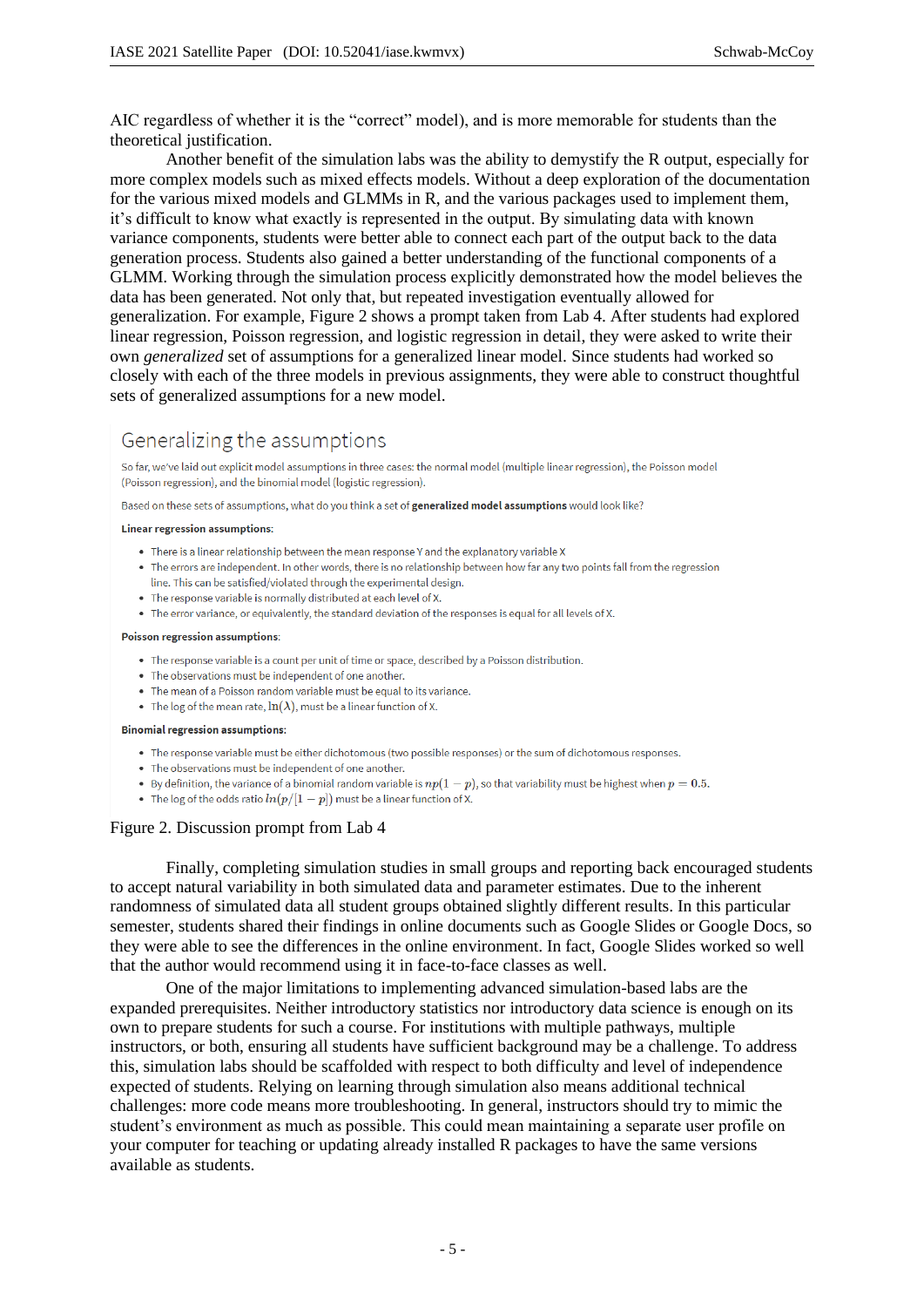AIC regardless of whether it is the "correct" model), and is more memorable for students than the theoretical justification.

Another benefit of the simulation labs was the ability to demystify the R output, especially for more complex models such as mixed effects models. Without a deep exploration of the documentation for the various mixed models and GLMMs in R, and the various packages used to implement them, it's difficult to know what exactly is represented in the output. By simulating data with known variance components, students were better able to connect each part of the output back to the data generation process. Students also gained a better understanding of the functional components of a GLMM. Working through the simulation process explicitly demonstrated how the model believes the data has been generated. Not only that, but repeated investigation eventually allowed for generalization. For example, Figure 2 shows a prompt taken from Lab 4. After students had explored linear regression, Poisson regression, and logistic regression in detail, they were asked to write their own *generalized* set of assumptions for a generalized linear model. Since students had worked so closely with each of the three models in previous assignments, they were able to construct thoughtful sets of generalized assumptions for a new model.

# Generalizing the assumptions

So far, we've laid out explicit model assumptions in three cases: the normal model (multiple linear regression), the Poisson model (Poisson regression), and the binomial model (logistic regression).

Based on these sets of assumptions, what do you think a set of generalized model assumptions would look like?

#### Linear regression assumptions

- There is a linear relationship between the mean response Y and the explanatory variable X
- The errors are independent. In other words, there is no relationship between how far any two points fall from the regression
- line. This can be satisfied/violated through the experimental design.
- . The response variable is normally distributed at each level of X.
- The error variance, or equivalently, the standard deviation of the responses is equal for all levels of X.

#### Poisson regression assumptions:

- The response variable is a count per unit of time or space, described by a Poisson distribution.
- The observations must be independent of one another.
- The mean of a Poisson random variable must be equal to its variance.
- The log of the mean rate,  $\ln(\lambda)$ , must be a linear function of X.

### **Binomial regression assumptions:**

- The response variable must be either dichotomous (two possible responses) or the sum of dichotomous responses.
- The observations must be independent of one another.
- By definition, the variance of a binomial random variable is  $np(1-p)$ , so that variability must be highest when  $p=0.5$ .
- The log of the odds ratio  $ln(p/[1-p])$  must be a linear function of X.

### Figure 2. Discussion prompt from Lab 4

Finally, completing simulation studies in small groups and reporting back encouraged students to accept natural variability in both simulated data and parameter estimates. Due to the inherent randomness of simulated data all student groups obtained slightly different results. In this particular semester, students shared their findings in online documents such as Google Slides or Google Docs, so they were able to see the differences in the online environment. In fact, Google Slides worked so well that the author would recommend using it in face-to-face classes as well.

One of the major limitations to implementing advanced simulation-based labs are the expanded prerequisites. Neither introductory statistics nor introductory data science is enough on its own to prepare students for such a course. For institutions with multiple pathways, multiple instructors, or both, ensuring all students have sufficient background may be a challenge. To address this, simulation labs should be scaffolded with respect to both difficulty and level of independence expected of students. Relying on learning through simulation also means additional technical challenges: more code means more troubleshooting. In general, instructors should try to mimic the student's environment as much as possible. This could mean maintaining a separate user profile on your computer for teaching or updating already installed R packages to have the same versions available as students.